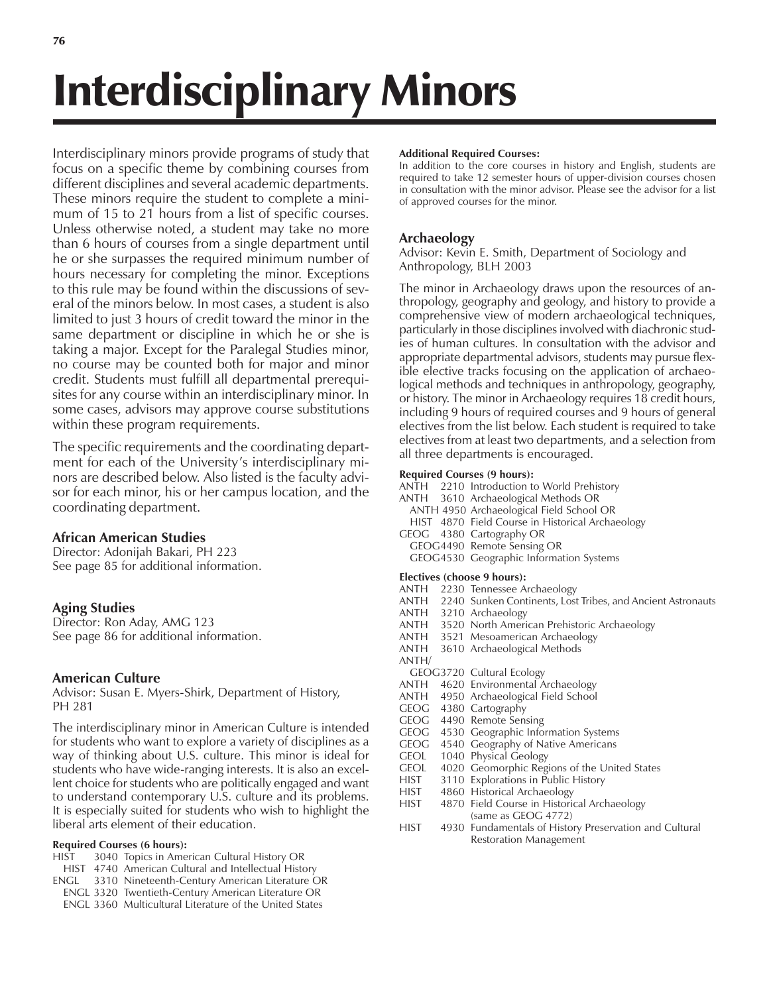# Interdisciplinary Minors

Interdisciplinary minors provide programs of study that focus on a specific theme by combining courses from different disciplines and several academic departments. These minors require the student to complete a minimum of 15 to 21 hours from a list of specific courses. Unless otherwise noted, a student may take no more than 6 hours of courses from a single department until he or she surpasses the required minimum number of hours necessary for completing the minor. Exceptions to this rule may be found within the discussions of several of the minors below. In most cases, a student is also limited to just 3 hours of credit toward the minor in the same department or discipline in which he or she is taking a major. Except for the Paralegal Studies minor, no course may be counted both for major and minor credit. Students must fulfill all departmental prerequisites for any course within an interdisciplinary minor. In some cases, advisors may approve course substitutions within these program requirements.

The specific requirements and the coordinating department for each of the University's interdisciplinary minors are described below. Also listed is the faculty advisor for each minor, his or her campus location, and the coordinating department.

## **African American Studies**

Director: Adonijah Bakari, PH 223 See page 85 for additional information.

## **Aging Studies**

Director: Ron Aday, AMG 123 See page 86 for additional information.

## **American Culture**

Advisor: Susan E. Myers-Shirk, Department of History, PH 281

The interdisciplinary minor in American Culture is intended for students who want to explore a variety of disciplines as a way of thinking about U.S. culture. This minor is ideal for students who have wide-ranging interests. It is also an excellent choice for students who are politically engaged and want to understand contemporary U.S. culture and its problems. It is especially suited for students who wish to highlight the liberal arts element of their education.

### **Required Courses (6 hours):**

- HIST 3040 Topics in American Cultural History OR
- HIST 4740 American Cultural and Intellectual History
- ENGL 3310 Nineteenth-Century American Literature OR
- ENGL 3320 Twentieth-Century American Literature OR
- ENGL 3360 Multicultural Literature of the United States

#### **Additional Required Courses:**

In addition to the core courses in history and English, students are required to take 12 semester hours of upper-division courses chosen in consultation with the minor advisor. Please see the advisor for a list of approved courses for the minor.

## **Archaeology**

Advisor: Kevin E. Smith, Department of Sociology and Anthropology, BLH 2003

The minor in Archaeology draws upon the resources of anthropology, geography and geology, and history to provide a comprehensive view of modern archaeological techniques, particularly in those disciplines involved with diachronic studies of human cultures. In consultation with the advisor and appropriate departmental advisors, students may pursue flexible elective tracks focusing on the application of archaeological methods and techniques in anthropology, geography, or history. The minor in Archaeology requires 18 credit hours, including 9 hours of required courses and 9 hours of general electives from the list below. Each student is required to take electives from at least two departments, and a selection from all three departments is encouraged.

### **Required Courses (9 hours):**

- ANTH 2210 Introduction to World Prehistory
- ANTH 3610 Archaeological Methods OR
- ANTH 4950 Archaeological Field School OR
- HIST 4870 Field Course in Historical Archaeology
- GEOG 4380 Cartography OR
- GEOG4490 Remote Sensing OR
- GEOG4530 Geographic Information Systems

#### **Electives (choose 9 hours):**

- 
- ANTH 2230 Tennessee Archaeology<br>ANTH 2240 Sunken Continents. Los 2240 Sunken Continents, Lost Tribes, and Ancient Astronauts
- ANTH 3210 Archaeology
- ANTH 3520 North American Prehistoric Archaeology
- ANTH 3521 Mesoamerican Archaeology
- ANTH 3610 Archaeological Methods
- ANTH/
- GEOG3720 Cultural Ecology
- ANTH 4620 Environmental Archaeology
- ANTH 4950 Archaeological Field School
- GEOG 4380 Cartography
- GEOG 4490 Remote Sensing
- GEOG 4530 Geographic Information Systems
- GEOG 4540 Geography of Native Americans
- GEOL 1040 Physical Geology
- GEOL 4020 Geomorphic Regions of the United States
- HIST 3110 Explorations in Public History
- HIST 4860 Historical Archaeology
- HIST 4870 Field Course in Historical Archaeology (same as GEOG 4772)
- HIST 4930 Fundamentals of History Preservation and Cultural Restoration Management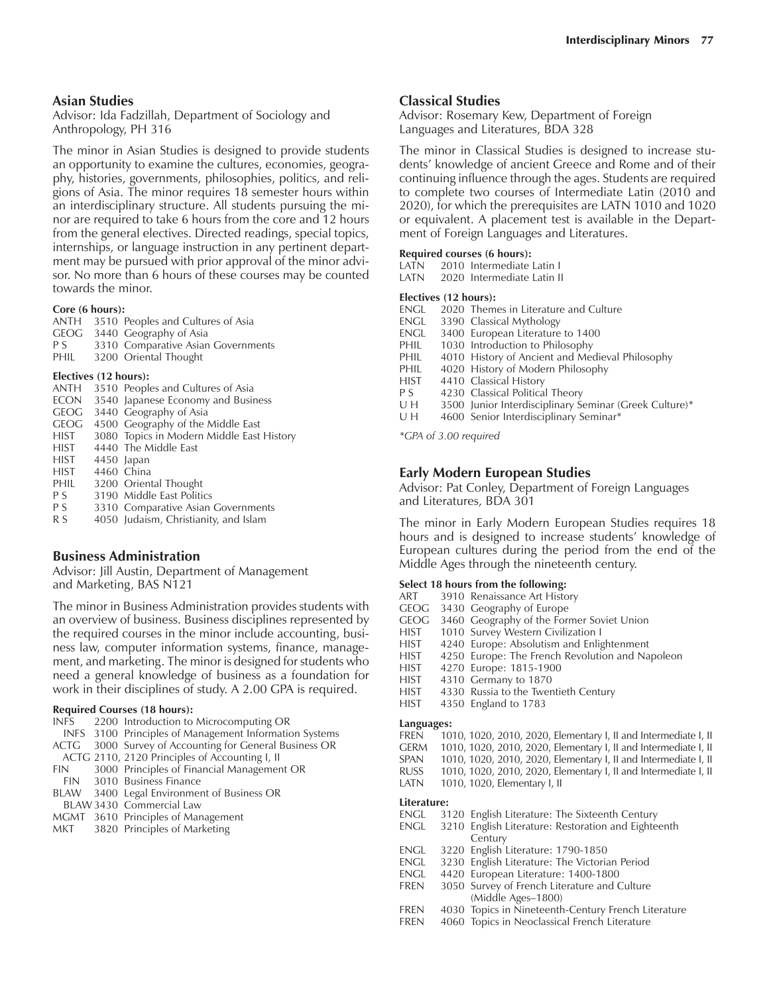#### **Asian Studies**

Advisor: Ida Fadzillah, Department of Sociology and Anthropology, PH 316

The minor in Asian Studies is designed to provide students an opportunity to examine the cultures, economies, geography, histories, governments, philosophies, politics, and religions of Asia. The minor requires 18 semester hours within an interdisciplinary structure. All students pursuing the minor are required to take 6 hours from the core and 12 hours from the general electives. Directed readings, special topics, internships, or language instruction in any pertinent department may be pursued with prior approval of the minor advisor. No more than 6 hours of these courses may be counted towards the minor.

#### **Core (6 hours):**

|      | ANTH 3510 Peoples and Cultures of Asia |
|------|----------------------------------------|
|      | GEOG 3440 Geography of Asia            |
| P S  | 3310 Comparative Asian Governments     |
| PHIL | 3200 Oriental Thought                  |
|      |                                        |

#### **Electives (12 hours):**

| <b>ANTH</b> | 3510 Peoples and Cultures of Asia         |
|-------------|-------------------------------------------|
| ECON        | 3540 Japanese Economy and Business        |
| <b>GEOG</b> | 3440 Geography of Asia                    |
| <b>GEOG</b> | 4500 Geography of the Middle East         |
| HIST        | 3080 Topics in Modern Middle East History |
| <b>HIST</b> | 4440 The Middle East                      |
| <b>HIST</b> | 4450 Japan                                |
| <b>HIST</b> | 4460 China                                |
| PHIL        | 3200 Oriental Thought                     |
| P S         | 3190 Middle East Politics                 |
| P S         | 3310 Comparative Asian Governments        |
| R S         | 4050 Judaism, Christianity, and Islam     |

#### **Business Administration**

Advisor: Jill Austin, Department of Management and Marketing, BAS N121

The minor in Business Administration provides students with an overview of business. Business disciplines represented by the required courses in the minor include accounting, business law, computer information systems, finance, management, and marketing. The minor is designed for students who need a general knowledge of business as a foundation for work in their disciplines of study. A 2.00 GPA is required.

#### **Required Courses (18 hours):**

- INFS 2200 Introduction to Microcomputing OR
- INFS 3100 Principles of Management Information Systems
- ACTG 3000 Survey of Accounting for General Business OR
- ACTG 2110, 2120 Principles of Accounting I, II
- FIN 3000 Principles of Financial Management OR
- FIN 3010 Business Finance
- BLAW 3400 Legal Environment of Business OR BLAW 3430 Commercial Law
- 
- MGMT 3610 Principles of Management<br>MKT 3820 Principles of Marketing 3820 Principles of Marketing

#### **Classical Studies**

Advisor: Rosemary Kew, Department of Foreign Languages and Literatures, BDA 328

The minor in Classical Studies is designed to increase students' knowledge of ancient Greece and Rome and of their continuing influence through the ages. Students are required to complete two courses of Intermediate Latin (2010 and 2020), for which the prerequisites are LATN 1010 and 1020 or equivalent. A placement test is available in the Department of Foreign Languages and Literatures.

## **Required courses (6 hours):**

2010 Intermediate Latin I

LATN 2020 Intermediate Latin II

#### **Electives (12 hours):**

- ENGL 2020 Themes in Literature and Culture
- ENGL 3390 Classical Mythology
- ENGL 3400 European Literature to 1400<br>PHIL 1030 Introduction to Philosophy
- 1030 Introduction to Philosophy
- PHIL 4010 History of Ancient and Medieval Philosophy
- PHIL 4020 History of Modern Philosophy<br>HIST 4410 Classical History
- 4410 Classical History
- P S 4230 Classical Political Theory
- U H 3500 Junior Interdisciplinary Seminar (Greek Culture)\*
- U H 4600 Senior Interdisciplinary Seminar\*

*\*GPA of 3.00 required*

#### **Early Modern European Studies**

Advisor: Pat Conley, Department of Foreign Languages and Literatures, BDA 301

The minor in Early Modern European Studies requires 18 hours and is designed to increase students' knowledge of European cultures during the period from the end of the Middle Ages through the nineteenth century.

#### **Select 18 hours from the following:**

| ART         | 3910 Renaissance Art History                                    |
|-------------|-----------------------------------------------------------------|
| GEOG        | 3430 Geography of Europe                                        |
| <b>GEOG</b> | 3460 Geography of the Former Soviet Union                       |
| <b>HIST</b> | 1010 Survey Western Civilization I                              |
| <b>HIST</b> | 4240 Europe: Absolutism and Enlightenment                       |
| HIST        | 4250 Europe: The French Revolution and Napoleon                 |
| HIST        | 4270 Europe: 1815-1900                                          |
| HIST        | 4310 Germany to 1870                                            |
| <b>HIST</b> | 4330 Russia to the Twentieth Century                            |
| <b>HIST</b> | 4350 England to 1783                                            |
|             |                                                                 |
| Languages:  |                                                                 |
| FREN        | 1010, 1020, 2010, 2020, Elementary I, II and Intermediate I, II |
| <b>GERM</b> | 1010, 1020, 2010, 2020, Elementary I, II and Intermediate I, II |
| SPAN        | 1010, 1020, 2010, 2020, Elementary I, II and Intermediate I, II |
| RUSS        | 1010, 1020, 2010, 2020, Elementary I, II and Intermediate I, II |
| LATN        | 1010, 1020, Elementary I, II                                    |
| Literature: |                                                                 |
|             | ENGL 3120 English Literature: The Sixteenth Century             |
|             | ENGL 3210 English Literature: Restoration and Eighteenth        |
|             | Century                                                         |
| $-1$        |                                                                 |

- ENGL 3220 English Literature: 1790-1850
- ENGL 3230 English Literature: The Victorian Period
- ENGL 4420 European Literature: 1400-1800
- FREN 3050 Survey of French Literature and Culture (Middle Ages–1800)
- FREN 4030 Topics in Nineteenth-Century French Literature
- FREN 4060 Topics in Neoclassical French Literature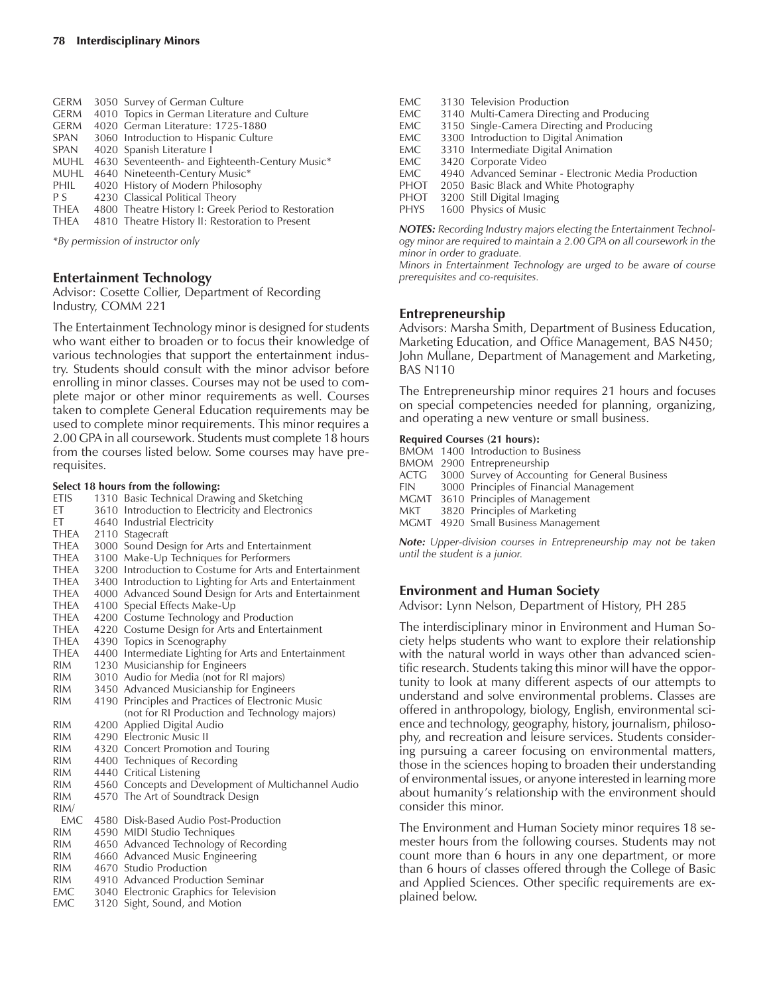| <b>GERM</b> | 3050 Survey of German Culture                       |
|-------------|-----------------------------------------------------|
| <b>GERM</b> | 4010 Topics in German Literature and Culture        |
| <b>GERM</b> | 4020 German Literature: 1725-1880                   |
| SPAN        | 3060 Introduction to Hispanic Culture               |
| SPAN        | 4020 Spanish Literature I                           |
| <b>MUHL</b> | 4630 Seventeenth- and Eighteenth-Century Music*     |
| <b>MUHL</b> | 4640 Nineteenth-Century Music*                      |
| <b>PHIL</b> | 4020 History of Modern Philosophy                   |
| P S         | 4230 Classical Political Theory                     |
| <b>THEA</b> | 4800 Theatre History I: Greek Period to Restoration |
| THEA        | 4810 Theatre History II: Restoration to Present     |
|             |                                                     |

*\*By permission of instructor only*

#### **Entertainment Technology**

Advisor: Cosette Collier, Department of Recording Industry, COMM 221

The Entertainment Technology minor is designed for students who want either to broaden or to focus their knowledge of various technologies that support the entertainment industry. Students should consult with the minor advisor before enrolling in minor classes. Courses may not be used to complete major or other minor requirements as well. Courses taken to complete General Education requirements may be used to complete minor requirements. This minor requires a 2.00 GPA in all coursework. Students must complete 18 hours from the courses listed below. Some courses may have prerequisites.

#### **Select 18 hours from the following:**

|              | belect To hours from the following.                      |
|--------------|----------------------------------------------------------|
|              | ETIS 1310 Basic Technical Drawing and Sketching          |
| ET           | 3610 Introduction to Electricity and Electronics         |
| ET           | 4640 Industrial Electricity                              |
| <b>THEA</b>  | 2110 Stagecraft                                          |
| THEA         | 3000 Sound Design for Arts and Entertainment             |
| THEA         | 3100 Make-Up Techniques for Performers                   |
| THEA         | 3200 Introduction to Costume for Arts and Entertainment  |
| <b>THEA</b>  | 3400 Introduction to Lighting for Arts and Entertainment |
| <b>THEA</b>  | 4000 Advanced Sound Design for Arts and Entertainment    |
| THEA         | 4100 Special Effects Make-Up                             |
| THEA         | 4200 Costume Technology and Production                   |
| THEA         | 4220 Costume Design for Arts and Entertainment           |
| THEA         | 4390 Topics in Scenography                               |
| THEA         | 4400 Intermediate Lighting for Arts and Entertainment    |
| RIM <b>R</b> | 1230 Musicianship for Engineers                          |
| <b>RIM</b>   | 3010 Audio for Media (not for RI majors)                 |
| <b>RIM</b>   | 3450 Advanced Musicianship for Engineers                 |
| <b>RIM</b>   | 4190 Principles and Practices of Electronic Music        |
|              | (not for RI Production and Technology majors)            |
| <b>RIM</b>   | 4200 Applied Digital Audio                               |
| <b>RIM</b>   | 4290 Electronic Music II                                 |
| <b>RIM</b>   | 4320 Concert Promotion and Touring                       |
| <b>RIM</b>   | 4400 Techniques of Recording                             |
| RIM          | 4440 Critical Listening                                  |
| <b>RIM</b>   | 4560 Concepts and Development of Multichannel Audio      |
| <b>RIM</b>   | 4570 The Art of Soundtrack Design                        |
| RIM/         |                                                          |
| EMC          | 4580 Disk-Based Audio Post-Production                    |
| <b>RIM</b>   | 4590 MIDI Studio Techniques                              |
| <b>RIM</b>   | 4650 Advanced Technology of Recording                    |
| RIM.         | 4660 Advanced Music Engineering                          |
| <b>RIM</b>   | 4670 Studio Production                                   |
| <b>RIM</b>   | 4910 Advanced Production Seminar                         |
| EMC          | 3040 Electronic Graphics for Television                  |
| EMC.         | 3120 Sight, Sound, and Motion                            |

- EMC 3130 Television Production<br>EMC 3140 Multi-Camera Directir 3140 Multi-Camera Directing and Producing EMC 3150 Single-Camera Directing and Producing EMC 3300 Introduction to Digital Animation<br>FMC 3310 Intermediate Digital Animation 3310 Intermediate Digital Animation EMC 3420 Corporate Video<br>EMC 4940 Advanced Semin EMC 4940 Advanced Seminar - Electronic Media Production<br>PHOT 2050 Basic Black and White Photography 2050 Basic Black and White Photography
- PHOT 3200 Still Digital Imaging<br>PHYS 1600 Physics of Music
- 1600 Physics of Music

*NOTES: Recording Industry majors electing the Entertainment Technology minor are required to maintain a 2.00 GPA on all coursework in the minor in order to graduate.*

*Minors in Entertainment Technology are urged to be aware of course prerequisites and co-requisites.*

#### **Entrepreneurship**

Advisors: Marsha Smith, Department of Business Education, Marketing Education, and Office Management, BAS N450; John Mullane, Department of Management and Marketing, BAS N110

The Entrepreneurship minor requires 21 hours and focuses on special competencies needed for planning, organizing, and operating a new venture or small business.

#### **Required Courses (21 hours):**

|       | BMOM 1400 Introduction to Business                  |
|-------|-----------------------------------------------------|
|       | BMOM 2900 Entrepreneurship                          |
|       | ACTG 3000 Survey of Accounting for General Business |
| FIN - | 3000 Principles of Financial Management             |
|       | MGMT 3610 Principles of Management                  |
| MKT   | 3820 Principles of Marketing                        |
|       | MGMT 4920 Small Business Management                 |
|       |                                                     |

*Note: Upper-division courses in Entrepreneurship may not be taken until the student is a junior.*

#### **Environment and Human Society**

Advisor: Lynn Nelson, Department of History, PH 285

The interdisciplinary minor in Environment and Human Society helps students who want to explore their relationship with the natural world in ways other than advanced scientific research. Students taking this minor will have the opportunity to look at many different aspects of our attempts to understand and solve environmental problems. Classes are offered in anthropology, biology, English, environmental science and technology, geography, history, journalism, philosophy, and recreation and leisure services. Students considering pursuing a career focusing on environmental matters, those in the sciences hoping to broaden their understanding of environmental issues, or anyone interested in learning more about humanity's relationship with the environment should consider this minor.

The Environment and Human Society minor requires 18 semester hours from the following courses. Students may not count more than 6 hours in any one department, or more than 6 hours of classes offered through the College of Basic and Applied Sciences. Other specific requirements are explained below.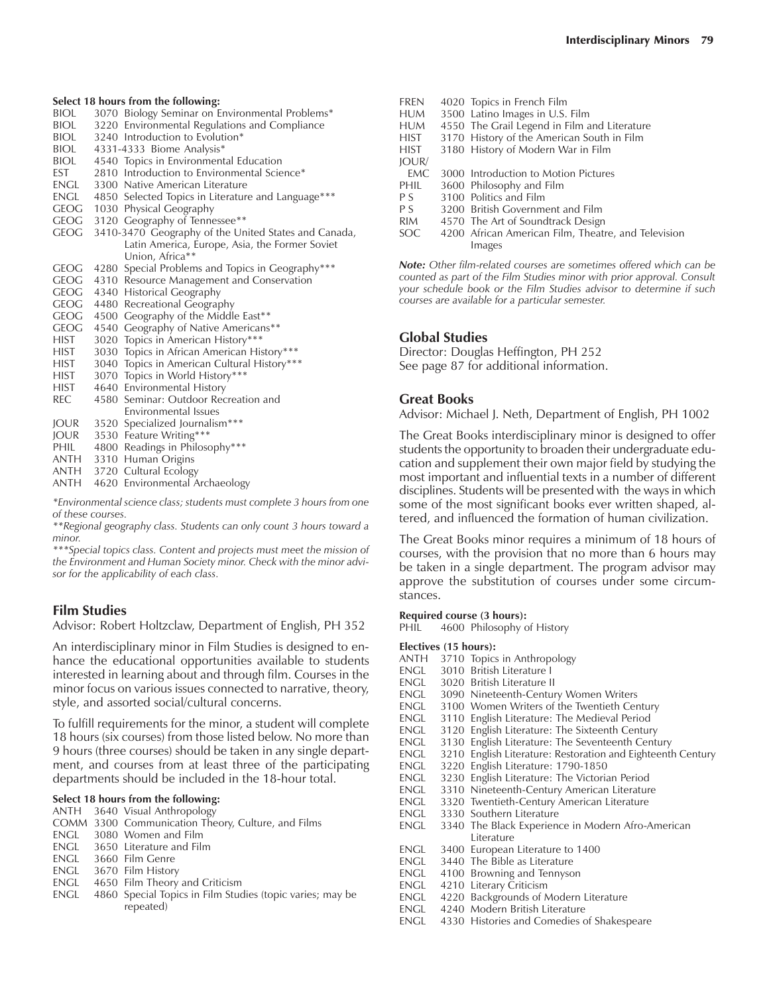**Select 18 hours from the following:**<br>**BIOL** 3070 Biology Seminar on E 3070 Biology Seminar on Environmental Problems\* BIOL 3220 Environmental Regulations and Compliance<br>BIOL 3240 Introduction to Evolution\* BIOL 3240 Introduction to Evolution\*<br>BIOL 4331-4333 Biome Analysis\* 4331-4333 Biome Analysis\* BIOL 4540 Topics in Environmental Education EST 2810 Introduction to Environmental Science\*<br>ENGL 3300 Native American Literature 3300 Native American Literature ENGL 4850 Selected Topics in Literature and Language\*\*\* GEOG 1030 Physical Geography GEOG 3120 Geography of Tennessee\*\* GEOG 3410-3470 Geography of the United States and Canada, Latin America, Europe, Asia, the Former Soviet Union, Africa\*\* GEOG 4280 Special Problems and Topics in Geography\*\*\* GEOG 4310 Resource Management and Conservation<br>GEOG 4340 Historical Geography 4340 Historical Geography GEOG 4480 Recreational Geography GEOG 4500 Geography of the Middle East\*\* GEOG 4540 Geography of Native Americans\*\* HIST 3020 Topics in American History\*\*\*<br>HIST 3030 Topics in African American His HIST 3030 Topics in African American History\*\*\*<br>HIST 3040 Topics in American Cultural History\*\*\* 3040 Topics in American Cultural History\*\*\* HIST 3070 Topics in World History\*\*\* HIST 4640 Environmental History<br>REC 4580 Seminar: Outdoor Rec 4580 Seminar: Outdoor Recreation and Environmental Issues JOUR 3520 Specialized Journalism\*\*\* JOUR 3530 Feature Writing\*\*\*

- PHIL 4800 Readings in Philosophy\*\*\*
- ANTH 3310 Human Origins<br>ANTH 3720 Cultural Ecology
- 3720 Cultural Ecology
- ANTH 4620 Environmental Archaeology

*\*Environmental science class; students must complete 3 hours from one of these courses.*

*\*\*Regional geography class. Students can only count 3 hours toward a minor.*

*\*\*\*Special topics class. Content and projects must meet the mission of the Environment and Human Society minor. Check with the minor advisor for the applicability of each class.*

#### **Film Studies**

Advisor: Robert Holtzclaw, Department of English, PH 352

An interdisciplinary minor in Film Studies is designed to enhance the educational opportunities available to students interested in learning about and through film. Courses in the minor focus on various issues connected to narrative, theory, style, and assorted social/cultural concerns.

To fulfill requirements for the minor, a student will complete 18 hours (six courses) from those listed below. No more than 9 hours (three courses) should be taken in any single department, and courses from at least three of the participating departments should be included in the 18-hour total.

#### **Select 18 hours from the following:**

- ANTH 3640 Visual Anthropology
- COMM 3300 Communication Theory, Culture, and Films
- ENGL 3080 Women and Film
- ENGL 3650 Literature and Film<br>ENGL 3660 Film Genre
- 3660 Film Genre
- ENGL 3670 Film History
- ENGL 4650 Film Theory and Criticism<br>ENGL 4860 Special Topics in Film Stud
- 4860 Special Topics in Film Studies (topic varies; may be repeated)

| <b>FREN</b> | 4020 Topics in French Film                          |
|-------------|-----------------------------------------------------|
| <b>HUM</b>  | 3500 Latino Images in U.S. Film                     |
| <b>HUM</b>  | 4550 The Grail Legend in Film and Literature        |
| HIST        | 3170 History of the American South in Film          |
| HIST        | 3180 History of Modern War in Film                  |
| IOUR/       |                                                     |
| EMC.        | 3000 Introduction to Motion Pictures                |
| PHIL        | 3600 Philosophy and Film                            |
| P S         | 3100 Politics and Film                              |
| P S         | 3200 British Government and Film                    |
| <b>RIM</b>  | 4570 The Art of Soundtrack Design                   |
| SOC.        | 4200 African American Film, Theatre, and Television |
|             | Images                                              |

*Note: Other film-related courses are sometimes offered which can be counted as part of the Film Studies minor with prior approval. Consult your schedule book or the Film Studies advisor to determine if such courses are available for a particular semester.*

#### **Global Studies**

Director: Douglas Heffington, PH 252 See page 87 for additional information.

#### **Great Books**

Advisor: Michael J. Neth, Department of English, PH 1002

The Great Books interdisciplinary minor is designed to offer students the opportunity to broaden their undergraduate education and supplement their own major field by studying the most important and influential texts in a number of different disciplines. Students will be presented with the ways in which some of the most significant books ever written shaped, altered, and influenced the formation of human civilization.

The Great Books minor requires a minimum of 18 hours of courses, with the provision that no more than 6 hours may be taken in a single department. The program advisor may approve the substitution of courses under some circumstances.

## **Required course (3 hours):**<br>PHIL 4600 Philosophy o

4600 Philosophy of History

#### **Electives (15 hours):**

- ANTH 3710 Topics in Anthropology<br>ENGL 3010 British Literature I
- 3010 British Literature I ENGL 3020 British Literature II
- 
- ENGL 3090 Nineteenth-Century Women Writers<br>ENGL 3100 Women Writers of the Twentieth Cer 3100 Women Writers of the Twentieth Century
- ENGL 3110 English Literature: The Medieval Period
- 
- ENGL 3120 English Literature: The Sixteenth Century 3130 English Literature: The Seventeenth Century
- ENGL 3210 English Literature: Restoration and Eighteenth Century
- 
- ENGL 3220 English Literature: 1790-1850
- 3230 English Literature: The Victorian Period
- ENGL 3310 Nineteenth-Century American Literature ENGL 3320 Twentieth-Century American Literature
- ENGL 3330 Southern Literature
- ENGL 3340 The Black Experience in Modern Afro-American Literature
- ENGL 3400 European Literature to 1400
- ENGL 3440 The Bible as Literature
- ENGL 4100 Browning and Tennyson<br>ENGL 4210 Literary Criticism
- 4210 Literary Criticism
- ENGL 4220 Backgrounds of Modern Literature
- ENGL 4240 Modern British Literature
- ENGL 4330 Histories and Comedies of Shakespeare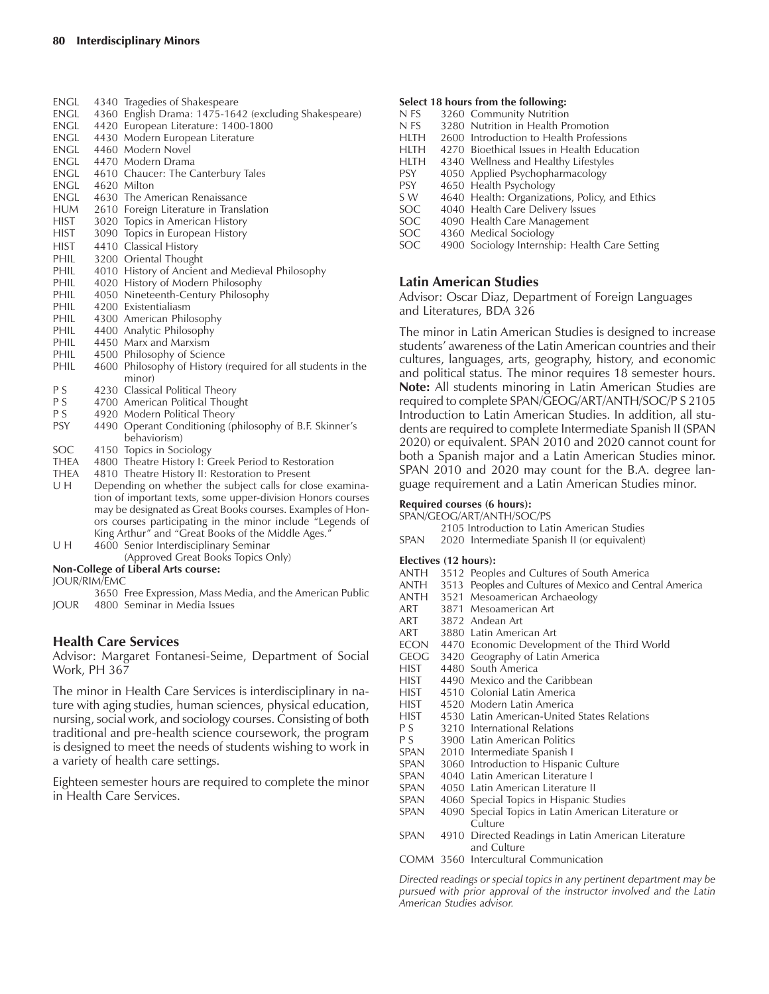- ENGL 4340 Tragedies of Shakespeare ENGL 4360 English Drama: 1475-1642 (excluding Shakespeare)
- ENGL 4420 European Literature: 1400-1800
- ENGL 4430 Modern European Literature
- ENGL 4460 Modern Novel
- ENGL 4470 Modern Drama
- ENGL 4610 Chaucer: The Canterbury Tales
- ENGL 4620 Milton
- ENGL 4630 The American Renaissance<br>HUM 2610 Foreign Literature in Transla
- 2610 Foreign Literature in Translation
- HIST 3020 Topics in American History
- HIST 3090 Topics in European History
- HIST 4410 Classical History PHIL 3200 Oriental Thought
- 
- PHIL 4010 History of Ancient and Medieval Philosophy<br>PHIL 4020 History of Modern Philosophy 4020 History of Modern Philosophy
- PHIL 4050 Nineteenth-Century Philosophy
- 
- PHIL 4200 Existentialiasm<br>PHIL 4300 American Philo 4300 American Philosophy
- PHIL 4400 Analytic Philosophy
- PHIL 4450 Marx and Marxism
- PHIL 4500 Philosophy of Science
- PHIL 4600 Philosophy of History (required for all students in the minor)
- P S 4230 Classical Political Theory<br>P S 4700 American Political Thoug
- 4700 American Political Thought
- P S 4920 Modern Political Theory<br>PSY 4490 Operant Conditioning (p
- 4490 Operant Conditioning (philosophy of B.F. Skinner's behaviorism)
- SOC 4150 Topics in Sociology<br>THEA 4800 Theatre History I: C
- 4800 Theatre History I: Greek Period to Restoration
- THEA 4810 Theatre History II: Restoration to Present
- U H Depending on whether the subject calls for close examination of important texts, some upper-division Honors courses may be designated as Great Books courses. Examples of Honors courses participating in the minor include "Legends of King Arthur" and "Great Books of the Middle Ages." U H 4600 Senior Interdisciplinary Seminar
- (Approved Great Books Topics Only)

#### **Non-College of Liberal Arts course:**

JOUR/RIM/EMC

3650 Free Expression, Mass Media, and the American Public JOUR 4800 Seminar in Media Issues

#### **Health Care Services**

Advisor: Margaret Fontanesi-Seime, Department of Social Work, PH 367

The minor in Health Care Services is interdisciplinary in nature with aging studies, human sciences, physical education, nursing, social work, and sociology courses. Consisting of both traditional and pre-health science coursework, the program is designed to meet the needs of students wishing to work in a variety of health care settings.

Eighteen semester hours are required to complete the minor in Health Care Services.

#### **Select 18 hours from the following:**

- N FS 3260 Community Nutrition
- N FS 3280 Nutrition in Health Promotion
- HLTH 2600 Introduction to Health Professions
- HLTH 4270 Bioethical Issues in Health Education
- HLTH 4340 Wellness and Healthy Lifestyles<br>PSY 4050 Applied Psychopharmacology
- 4050 Applied Psychopharmacology
- PSY 4650 Health Psychology
- S W 4640 Health: Organizations, Policy, and Ethics<br>SOC 4040 Health Care Delivery Issues
- 4040 Health Care Delivery Issues
- SOC 4090 Health Care Management<br>SOC 4360 Medical Sociology
- SOC 4360 Medical Sociology<br>SOC 4900 Sociology Internsh
- 4900 Sociology Internship: Health Care Setting

### **Latin American Studies**

Advisor: Oscar Diaz, Department of Foreign Languages and Literatures, BDA 326

The minor in Latin American Studies is designed to increase students' awareness of the Latin American countries and their cultures, languages, arts, geography, history, and economic and political status. The minor requires 18 semester hours. **Note:** All students minoring in Latin American Studies are required to complete SPAN/GEOG/ART/ANTH/SOC/P S 2105 Introduction to Latin American Studies. In addition, all students are required to complete Intermediate Spanish II (SPAN 2020) or equivalent. SPAN 2010 and 2020 cannot count for both a Spanish major and a Latin American Studies minor. SPAN 2010 and 2020 may count for the B.A. degree language requirement and a Latin American Studies minor.

### **Required courses (6 hours):**

SPAN/GEOG/ART/ANTH/SOC/PS

- 2105 Introduction to Latin American Studies
- SPAN 2020 Intermediate Spanish II (or equivalent)

#### **Electives (12 hours):**

| $r_{\text{rel}}$ |                                                                    |
|------------------|--------------------------------------------------------------------|
|                  | ANTH 3512 Peoples and Cultures of South America                    |
|                  | ANTH 3513 Peoples and Cultures of Mexico and Central America       |
|                  | ANTH 3521 Mesoamerican Archaeology                                 |
| ART              | 3871 Mesoamerican Art                                              |
| ART              | 3872 Andean Art                                                    |
| ART              | 3880 Latin American Art                                            |
|                  | ECON 4470 Economic Development of the Third World                  |
| GEOG             | 3420 Geography of Latin America                                    |
| HIST             | 4480 South America                                                 |
| HIST –           | 4490 Mexico and the Caribbean                                      |
| HIST             | 4510 Colonial Latin America                                        |
| HIST —           | 4520 Modern Latin America                                          |
| HIST             | 4530 Latin American-United States Relations                        |
| P S              | 3210 International Relations                                       |
| P S              | 3900 Latin American Politics                                       |
| span             | 2010 Intermediate Spanish I                                        |
| span             | 3060 Introduction to Hispanic Culture                              |
| span             | 4040 Latin American Literature I                                   |
| span             | 4050 Latin American Literature II                                  |
| SPAN             | 4060 Special Topics in Hispanic Studies                            |
| SPAN             | 4090 Special Topics in Latin American Literature or                |
|                  | Culture                                                            |
| SPAN             | 4910 Directed Readings in Latin American Literature<br>and Culture |
|                  |                                                                    |

COMM 3560 Intercultural Communication

*Directed readings or special topics in any pertinent department may be pursued with prior approval of the instructor involved and the Latin American Studies advisor.*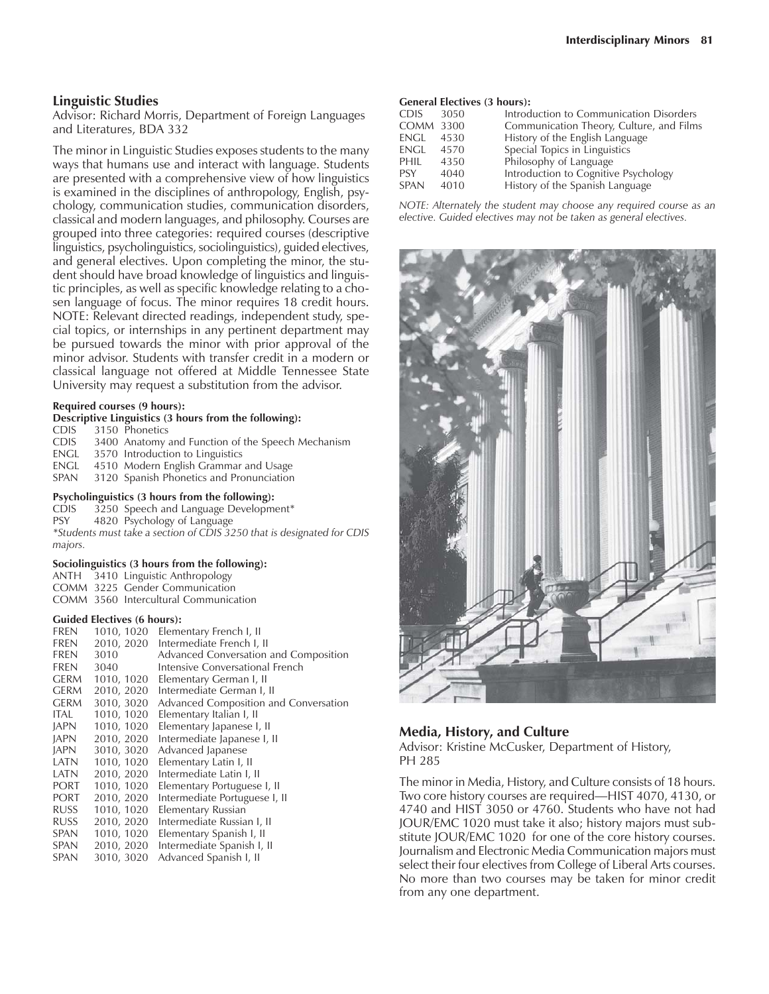#### **Linguistic Studies**

Advisor: Richard Morris, Department of Foreign Languages and Literatures, BDA 332

The minor in Linguistic Studies exposes students to the many ways that humans use and interact with language. Students are presented with a comprehensive view of how linguistics is examined in the disciplines of anthropology, English, psychology, communication studies, communication disorders, classical and modern languages, and philosophy. Courses are grouped into three categories: required courses (descriptive linguistics, psycholinguistics, sociolinguistics), guided electives, and general electives. Upon completing the minor, the student should have broad knowledge of linguistics and linguistic principles, as well as specific knowledge relating to a chosen language of focus. The minor requires 18 credit hours. NOTE: Relevant directed readings, independent study, special topics, or internships in any pertinent department may be pursued towards the minor with prior approval of the minor advisor. Students with transfer credit in a modern or classical language not offered at Middle Tennessee State University may request a substitution from the advisor.

#### **Required courses (9 hours):**

#### **Descriptive Linguistics (3 hours from the following):**

- CDIS 3150 Phonetics<br>CDIS 3400 Anatomy
- CDIS 3400 Anatomy and Function of the Speech Mechanism<br>ENGL 3570 Introduction to Linguistics
- 3570 Introduction to Linguistics
- ENGL 4510 Modern English Grammar and Usage
- SPAN 3120 Spanish Phonetics and Pronunciation

#### **Psycholinguistics (3 hours from the following):**

- CDIS 3250 Speech and Language Development\*
- PSY 4820 Psychology of Language

*\*Students must take a section of CDIS 3250 that is designated for CDIS majors.*

#### **Sociolinguistics (3 hours from the following):**

- ANTH 3410 Linguistic Anthropology
- COMM 3225 Gender Communication
- COMM 3560 Intercultural Communication

#### **Guided Electives (6 hours):**

| FREN        | 1010, 1020 | Elementary French I, II               |
|-------------|------------|---------------------------------------|
| <b>FREN</b> | 2010, 2020 | Intermediate French I, II             |
| <b>FREN</b> | 3010       | Advanced Conversation and Composition |
| <b>FREN</b> | 3040       | Intensive Conversational French       |
| <b>GERM</b> | 1010, 1020 | Elementary German I, II               |
| <b>GERM</b> | 2010, 2020 | Intermediate German I, II             |
| <b>GERM</b> | 3010, 3020 | Advanced Composition and Conversation |
| ITAL        | 1010, 1020 | Elementary Italian I, II              |
| <b>JAPN</b> | 1010, 1020 | Elementary Japanese I, II             |
| <b>JAPN</b> | 2010, 2020 | Intermediate Japanese I, II           |
| <b>JAPN</b> | 3010, 3020 | Advanced Japanese                     |
| LATN        | 1010, 1020 | Elementary Latin I, II                |
| LATN        | 2010, 2020 | Intermediate Latin I, II              |
| <b>PORT</b> | 1010, 1020 | Elementary Portuguese I, II           |
| <b>PORT</b> | 2010, 2020 | Intermediate Portuguese I, II         |
| <b>RUSS</b> | 1010, 1020 | Elementary Russian                    |
| <b>RUSS</b> | 2010, 2020 | Intermediate Russian I, II            |
| SPAN        | 1010, 1020 | Elementary Spanish I, II              |
| <b>SPAN</b> | 2010, 2020 | Intermediate Spanish I, II            |
| <b>SPAN</b> | 3010, 3020 | Advanced Spanish I, II                |

#### **General Electives (3 hours):**

| CDIS.       | 3050 | Introduction to Communication Disorders  |
|-------------|------|------------------------------------------|
| COMM 3300   |      | Communication Theory, Culture, and Films |
| engl        | 4530 | History of the English Language          |
| engl        | 4570 | Special Topics in Linguistics            |
| PHIL        | 4350 | Philosophy of Language                   |
| <b>PSY</b>  | 4040 | Introduction to Cognitive Psychology     |
| <b>SPAN</b> | 4010 | History of the Spanish Language          |
|             |      |                                          |

*NOTE: Alternately the student may choose any required course as an elective. Guided electives may not be taken as general electives.*



#### **Media, History, and Culture**

Advisor: Kristine McCusker, Department of History, PH 285

The minor in Media, History, and Culture consists of 18 hours. Two core history courses are required—HIST 4070, 4130, or 4740 and HIST 3050 or 4760. Students who have not had JOUR/EMC 1020 must take it also; history majors must substitute JOUR/EMC 1020 for one of the core history courses. Journalism and Electronic Media Communication majors must select their four electives from College of Liberal Arts courses. No more than two courses may be taken for minor credit from any one department.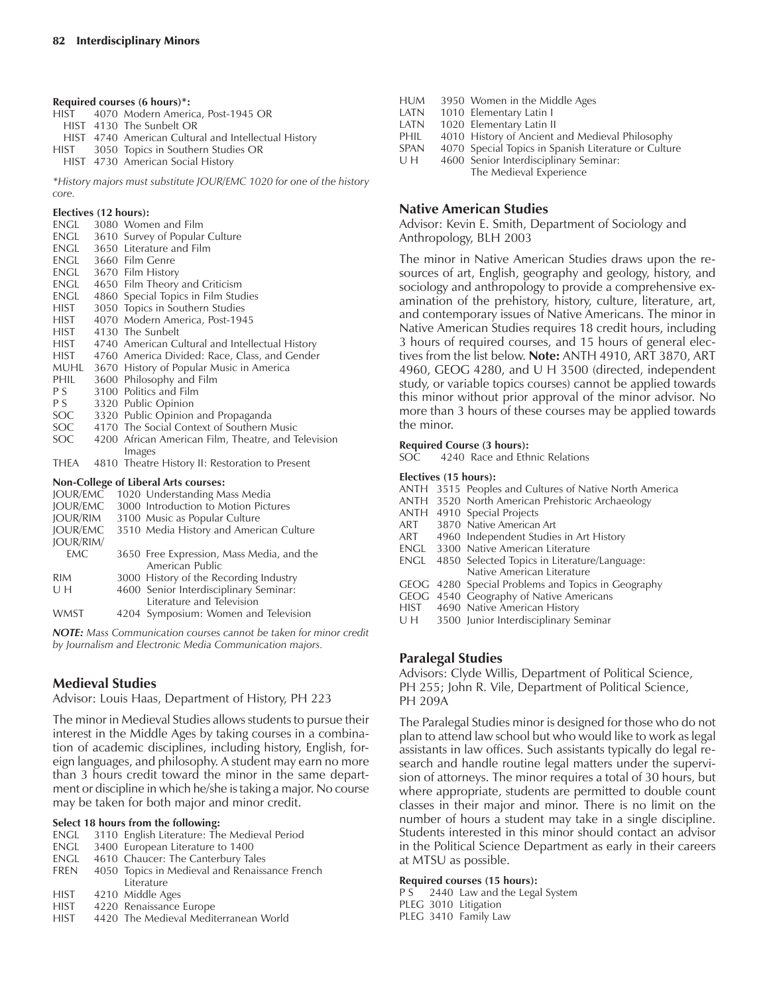**Required courses (6 hours)\*:**

HIST 4070 Modern America, Post-1945 OR HIST 4130 The Sunbelt OR HIST 4740 American Cultural and Intellectual History HIST 3050 Topics in Southern Studies OR HIST 4730 American Social History

*\*History majors must substitute JOUR/EMC 1020 for one of the history core.*

#### **Electives (12 hours):**

| ENGL | 3080 Women and Film                                 |
|------|-----------------------------------------------------|
| engl | 3610 Survey of Popular Culture                      |
| engl | 3650 Literature and Film                            |
| engl | 3660 Film Genre                                     |
| engl | 3670 Film History                                   |
| ENGL | 4650 Film Theory and Criticism                      |
| engl | 4860 Special Topics in Film Studies                 |
| HIST | 3050 Topics in Southern Studies                     |
| HIST | 4070 Modern America, Post-1945                      |
| HIST | 4130 The Sunbelt                                    |
| HIST | 4740 American Cultural and Intellectual History     |
| HIST | 4760 America Divided: Race, Class, and Gender       |
| muhl | 3670 History of Popular Music in America            |
| PHIL | 3600 Philosophy and Film                            |
| P S  | 3100 Politics and Film                              |
| P S  | 3320 Public Opinion                                 |
| SOC  | 3320 Public Opinion and Propaganda                  |
| SOC  | 4170 The Social Context of Southern Music           |
| SOC. | 4200 African American Film, Theatre, and Television |
|      | Images                                              |
| thea | 4810 Theatre History II: Restoration to Present     |
|      | <b>Non-College of Liberal Arts courses:</b>         |
|      | JOUR/EMC 1020 Understanding Mass Media              |
|      | IOUR/EMC 3000 Introduction to Motion Pictures       |

| <b>IOUR/EMC</b>  | 3000 Introduction to Motion Pictures      |
|------------------|-------------------------------------------|
| <b>IOUR/RIM</b>  | 3100 Music as Popular Culture             |
| <b>JOUR/EMC</b>  | 3510 Media History and American Culture   |
| <b>JOUR/RIM/</b> |                                           |
| <b>EMC</b>       | 3650 Free Expression, Mass Media, and the |
|                  | American Public                           |
| <b>RIM</b>       | 3000 History of the Recording Industry    |
| UH               | 4600 Senior Interdisciplinary Seminar:    |
|                  | Literature and Television                 |
| <b>WMST</b>      | 4204 Symposium: Women and Television      |
|                  |                                           |

*NOTE: Mass Communication courses cannot be taken for minor credit by Journalism and Electronic Media Communication majors.*

### **Medieval Studies**

Advisor: Louis Haas, Department of History, PH 223

The minor in Medieval Studies allows students to pursue their interest in the Middle Ages by taking courses in a combination of academic disciplines, including history, English, foreign languages, and philosophy. A student may earn no more than 3 hours credit toward the minor in the same department or discipline in which he/she is taking a major. No course may be taken for both major and minor credit.

#### **Select 18 hours from the following:**

- ENGL 3110 English Literature: The Medieval Period
- ENGL 3400 European Literature to 1400<br>ENGL 4610 Chaucer: The Canterbury Ta
- 4610 Chaucer: The Canterbury Tales
- FREN 4050 Topics in Medieval and Renaissance French Literature
- HIST 4210 Middle Ages
- HIST 4220 Renaissance Europe
- HIST 4420 The Medieval Mediterranean World

| <b>HUM</b>  | 3950 Women in the Middle Ages                        |
|-------------|------------------------------------------------------|
| LATN        | 1010 Elementary Latin I                              |
| LATN        | 1020 Elementary Latin II                             |
| PHIL        | 4010 History of Ancient and Medieval Philosophy      |
| <b>SPAN</b> | 4070 Special Topics in Spanish Literature or Culture |
| U H         | 4600 Senior Interdisciplinary Seminar:               |
|             | The Medieval Experience                              |

## **Native American Studies**

Advisor: Kevin E. Smith, Department of Sociology and Anthropology, BLH 2003

The minor in Native American Studies draws upon the resources of art, English, geography and geology, history, and sociology and anthropology to provide a comprehensive examination of the prehistory, history, culture, literature, art, and contemporary issues of Native Americans. The minor in Native American Studies requires 18 credit hours, including 3 hours of required courses, and 15 hours of general electives from the list below. **Note:** ANTH 4910, ART 3870, ART 4960, GEOG 4280, and U H 3500 (directed, independent study, or variable topics courses) cannot be applied towards this minor without prior approval of the minor advisor. No more than 3 hours of these courses may be applied towards the minor.

#### **Required Course (3 hours):**

SOC 4240 Race and Ethnic Relations

#### **Electives (15 hours):**

- ANTH 3515 Peoples and Cultures of Native North America
- ANTH 3520 North American Prehistoric Archaeology
- ANTH 4910 Special Projects
- ART 3870 Native American Art
- ART 4960 Independent Studies in Art History
- ENGL 3300 Native American Literature
- ENGL 4850 Selected Topics in Literature/Language: Native American Literature
- GEOG 4280 Special Problems and Topics in Geography
- GEOG 4540 Geography of Native Americans
- HIST 4690 Native American History<br>U H 3500 Junior Interdisciplinary S
- 3500 Junior Interdisciplinary Seminar

## **Paralegal Studies**

Advisors: Clyde Willis, Department of Political Science, PH 255; John R. Vile, Department of Political Science, PH 209A

The Paralegal Studies minor is designed for those who do not plan to attend law school but who would like to work as legal assistants in law offices. Such assistants typically do legal research and handle routine legal matters under the supervision of attorneys. The minor requires a total of 30 hours, but where appropriate, students are permitted to double count classes in their major and minor. There is no limit on the number of hours a student may take in a single discipline. Students interested in this minor should contact an advisor in the Political Science Department as early in their careers at MTSU as possible.

#### **Required courses (15 hours):**

P S 2440 Law and the Legal System PLEG 3010 Litigation PLEG 3410 Family Law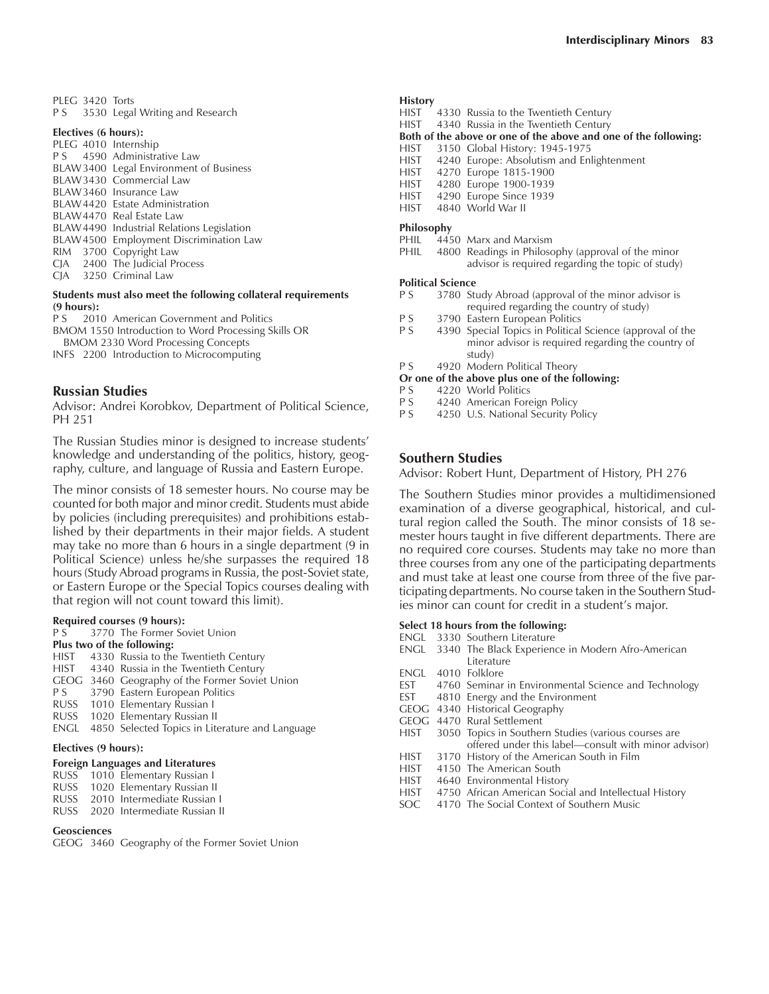PLEG 3420 Torts P S 3530 Legal Writing and Research

#### **Electives (6 hours):**

|  | PLEG 4010 Internship                       |
|--|--------------------------------------------|
|  | P S 4590 Administrative Law                |
|  | BLAW 3400 Legal Environment of Business    |
|  | BLAW3430 Commercial Law                    |
|  | BLAW3460 Insurance Law                     |
|  | BLAW4420 Estate Administration             |
|  | BLAW4470 Real Estate Law                   |
|  | BLAW 4490 Industrial Relations Legislation |
|  | BLAW4500 Employment Discrimination Law     |
|  | RIM 3700 Copyright Law                     |
|  | CJA 2400 The Judicial Process              |
|  | CIA 3250 Criminal Law                      |
|  |                                            |

## **Students must also meet the following collateral requirements (9 hours):**

2010 American Government and Politics BMOM 1550 Introduction to Word Processing Skills OR

BMOM 2330 Word Processing Concepts

INFS 2200 Introduction to Microcomputing

#### **Russian Studies**

Advisor: Andrei Korobkov, Department of Political Science, PH 251

The Russian Studies minor is designed to increase students' knowledge and understanding of the politics, history, geography, culture, and language of Russia and Eastern Europe.

The minor consists of 18 semester hours. No course may be counted for both major and minor credit. Students must abide by policies (including prerequisites) and prohibitions established by their departments in their major fields. A student may take no more than 6 hours in a single department (9 in Political Science) unless he/she surpasses the required 18 hours (Study Abroad programs in Russia, the post-Soviet state, or Eastern Europe or the Special Topics courses dealing with that region will not count toward this limit).

## **Required courses (9 hours):**<br>P.S. 3770. The Former So

3770 The Former Soviet Union

#### **Plus two of the following:**

- HIST 4330 Russia to the Twentieth Century
- HIST 4340 Russia in the Twentieth Century
- GEOG 3460 Geography of the Former Soviet Union
- P S 3790 Eastern European Politics
- RUSS 1010 Elementary Russian I
- RUSS 1020 Elementary Russian II
- ENGL 4850 Selected Topics in Literature and Language

#### **Electives (9 hours):**

#### **Foreign Languages and Literatures**

- RUSS 1010 Elementary Russian I
- RUSS 1020 Elementary Russian II RUSS 2010 Intermediate Russian I
- RUSS 2020 Intermediate Russian II
- 

#### **Geosciences**

GEOG 3460 Geography of the Former Soviet Union

#### **History**

- HIST 4330 Russia to the Twentieth Century
- HIST 4340 Russia in the Twentieth Century
- **Both of the above or one of the above and one of the following:**
- HIST 3150 Global History: 1945-1975
- HIST 4240 Europe: Absolutism and Enlightenment
- HIST 4270 Europe 1815-1900
- HIST 4280 Europe 1900-1939<br>HIST 4290 Europe Since 1939
- 4290 Europe Since 1939
- HIST 4840 World War II

- **Philosophy**  $4450$  Marx and Marxism
- PHIL 4800 Readings in Philosophy (approval of the minor advisor is required regarding the topic of study)

#### **Political Science**

- P S 3780 Study Abroad (approval of the minor advisor is required regarding the country of study)
- 
- P S 3790 Eastern European Politics<br>P S 4390 Special Topics in Political 4390 Special Topics in Political Science (approval of the minor advisor is required regarding the country of study)
- P S 4920 Modern Political Theory

#### **Or one of the above plus one of the following:**

- P S 4220 World Politics<br>P S 4240 American Fore
- P S 4240 American Foreign Policy<br>P S 4250 U.S. National Security Po
- 4250 U.S. National Security Policy

#### **Southern Studies**

Advisor: Robert Hunt, Department of History, PH 276

The Southern Studies minor provides a multidimensioned examination of a diverse geographical, historical, and cultural region called the South. The minor consists of 18 semester hours taught in five different departments. There are no required core courses. Students may take no more than three courses from any one of the participating departments and must take at least one course from three of the five participating departments. No course taken in the Southern Studies minor can count for credit in a student's major.

#### **Select 18 hours from the following:**

- ENGL 3330 Southern Literature
- ENGL 3340 The Black Experience in Modern Afro-American Literature
- ENGL 4010 Folklore
- EST 4760 Seminar in Environmental Science and Technology<br>EST 4810 Energy and the Environment
- 4810 Energy and the Environment
- GEOG 4340 Historical Geography
- GEOG 4470 Rural Settlement<br>HIST 3050 Topics in Souther
- 3050 Topics in Southern Studies (various courses are offered under this label—consult with minor advisor) HIST 3170 History of the American South in Film
- HIST 4150 The American South
- 
- HIST 4640 Environmental History
- HIST 4750 African American Social and Intellectual History SOC 4170 The Social Context of Southern Music